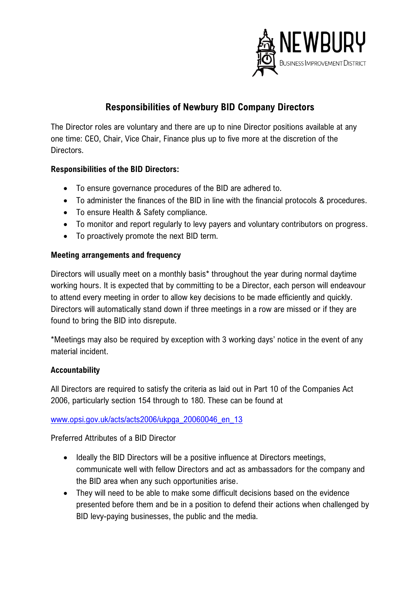

## **Responsibilities of Newbury BID Company Directors**

The Director roles are voluntary and there are up to nine Director positions available at any one time: CEO, Chair, Vice Chair, Finance plus up to five more at the discretion of the Directors.

## **Responsibilities of the BID Directors:**

- To ensure governance procedures of the BID are adhered to.
- To administer the finances of the BID in line with the financial protocols & procedures.
- To ensure Health & Safety compliance.
- To monitor and report regularly to levy payers and voluntary contributors on progress.
- To proactively promote the next BID term.

## **Meeting arrangements and frequency**

Directors will usually meet on a monthly basis\* throughout the year during normal daytime working hours. It is expected that by committing to be a Director, each person will endeavour to attend every meeting in order to allow key decisions to be made efficiently and quickly. Directors will automatically stand down if three meetings in a row are missed or if they are found to bring the BID into disrepute.

\*Meetings may also be required by exception with 3 working days' notice in the event of any material incident.

## **Accountability**

All Directors are required to satisfy the criteria as laid out in Part 10 of the Companies Act 2006, particularly section 154 through to 180. These can be found at

[www.opsi.gov.uk/acts/acts2006/ukpga\\_20060046\\_en\\_13](http://www.opsi.gov.uk/acts/acts2006/ukpga_20060046_en_13)

Preferred Attributes of a BID Director

- Ideally the BID Directors will be a positive influence at Directors meetings, communicate well with fellow Directors and act as ambassadors for the company and the BID area when any such opportunities arise.
- They will need to be able to make some difficult decisions based on the evidence presented before them and be in a position to defend their actions when challenged by BID levy-paying businesses, the public and the media.